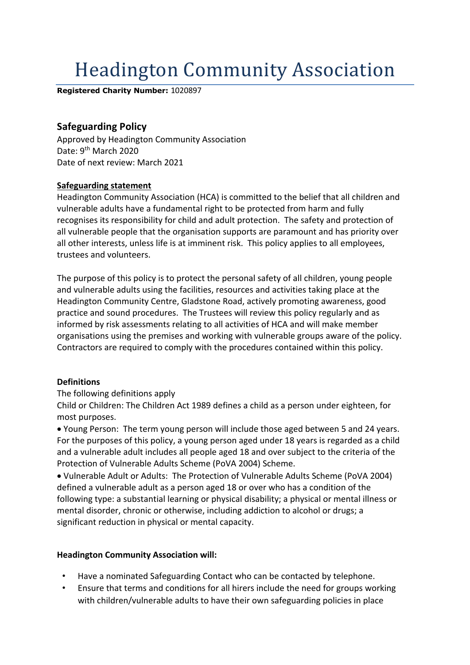# **Headington Community Association**

**Registered Charity Number:** 1020897

## **Safeguarding Policy**

Approved by Headington Community Association Date: 9<sup>th</sup> March 2020 Date of next review: March 2021

#### **Safeguarding statement**

Headington Community Association (HCA) is committed to the belief that all children and vulnerable adults have a fundamental right to be protected from harm and fully recognises its responsibility for child and adult protection. The safety and protection of all vulnerable people that the organisation supports are paramount and has priority over all other interests, unless life is at imminent risk. This policy applies to all employees, trustees and volunteers.

The purpose of this policy is to protect the personal safety of all children, young people and vulnerable adults using the facilities, resources and activities taking place at the Headington Community Centre, Gladstone Road, actively promoting awareness, good practice and sound procedures. The Trustees will review this policy regularly and as informed by risk assessments relating to all activities of HCA and will make member organisations using the premises and working with vulnerable groups aware of the policy. Contractors are required to comply with the procedures contained within this policy.

#### **Definitions**

#### The following definitions apply

Child or Children: The Children Act 1989 defines a child as a person under eighteen, for most purposes.

• Young Person: The term young person will include those aged between 5 and 24 years. For the purposes of this policy, a young person aged under 18 years is regarded as a child and a vulnerable adult includes all people aged 18 and over subject to the criteria of the Protection of Vulnerable Adults Scheme (PoVA 2004) Scheme.

• Vulnerable Adult or Adults: The Protection of Vulnerable Adults Scheme (PoVA 2004) defined a vulnerable adult as a person aged 18 or over who has a condition of the following type: a substantial learning or physical disability; a physical or mental illness or mental disorder, chronic or otherwise, including addiction to alcohol or drugs; a significant reduction in physical or mental capacity.

#### **Headington Community Association will:**

- Have a nominated Safeguarding Contact who can be contacted by telephone.
- Ensure that terms and conditions for all hirers include the need for groups working with children/vulnerable adults to have their own safeguarding policies in place